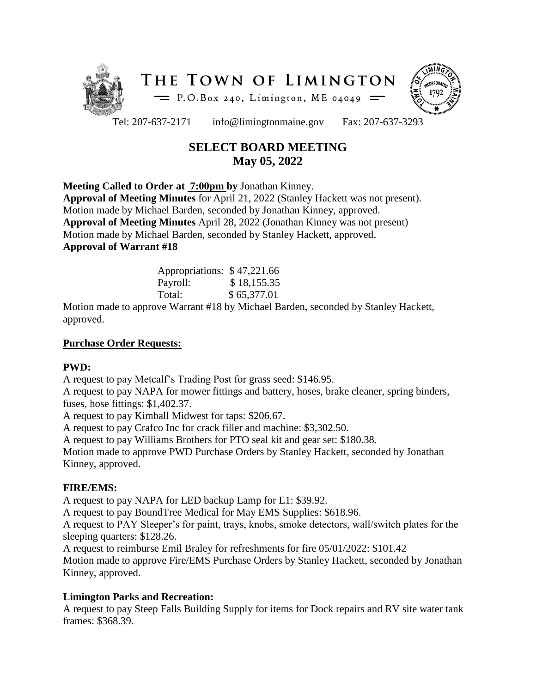



Tel: 207-637-2171 info@limingtonmaine.gov Fax: 207-637-3293

# **SELECT BOARD MEETING May 05, 2022**

**Meeting Called to Order at 7:00pm by** Jonathan Kinney.

**Approval of Meeting Minutes** for April 21, 2022 (Stanley Hackett was not present). Motion made by Michael Barden, seconded by Jonathan Kinney, approved. **Approval of Meeting Minutes** April 28, 2022 (Jonathan Kinney was not present) Motion made by Michael Barden, seconded by Stanley Hackett, approved. **Approval of Warrant #18**

| Appropriations: \$47,221.66 |             |
|-----------------------------|-------------|
| Payroll:                    | \$18,155.35 |
| Total:                      | \$65,377.01 |

Motion made to approve Warrant #18 by Michael Barden, seconded by Stanley Hackett, approved.

#### **Purchase Order Requests:**

#### **PWD:**

A request to pay Metcalf's Trading Post for grass seed: \$146.95.

A request to pay NAPA for mower fittings and battery, hoses, brake cleaner, spring binders, fuses, hose fittings: \$1,402.37.

A request to pay Kimball Midwest for taps: \$206.67.

A request to pay Crafco Inc for crack filler and machine: \$3,302.50.

A request to pay Williams Brothers for PTO seal kit and gear set: \$180.38.

Motion made to approve PWD Purchase Orders by Stanley Hackett, seconded by Jonathan Kinney, approved.

## **FIRE/EMS:**

A request to pay NAPA for LED backup Lamp for E1: \$39.92.

A request to pay BoundTree Medical for May EMS Supplies: \$618.96.

A request to PAY Sleeper's for paint, trays, knobs, smoke detectors, wall/switch plates for the sleeping quarters: \$128.26.

A request to reimburse Emil Braley for refreshments for fire 05/01/2022: \$101.42 Motion made to approve Fire/EMS Purchase Orders by Stanley Hackett, seconded by Jonathan Kinney, approved.

## **Limington Parks and Recreation:**

A request to pay Steep Falls Building Supply for items for Dock repairs and RV site water tank frames: \$368.39.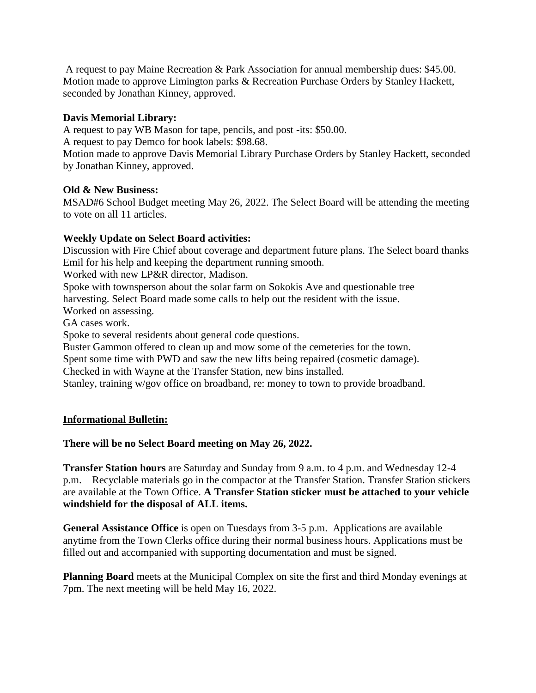A request to pay Maine Recreation & Park Association for annual membership dues: \$45.00. Motion made to approve Limington parks & Recreation Purchase Orders by Stanley Hackett, seconded by Jonathan Kinney, approved.

### **Davis Memorial Library:**

A request to pay WB Mason for tape, pencils, and post -its: \$50.00.

A request to pay Demco for book labels: \$98.68.

Motion made to approve Davis Memorial Library Purchase Orders by Stanley Hackett, seconded by Jonathan Kinney, approved.

#### **Old & New Business:**

MSAD#6 School Budget meeting May 26, 2022. The Select Board will be attending the meeting to vote on all 11 articles.

## **Weekly Update on Select Board activities:**

Discussion with Fire Chief about coverage and department future plans. The Select board thanks Emil for his help and keeping the department running smooth.

Worked with new LP&R director, Madison.

Spoke with townsperson about the solar farm on Sokokis Ave and questionable tree

harvesting. Select Board made some calls to help out the resident with the issue.

Worked on assessing.

GA cases work.

Spoke to several residents about general code questions.

Buster Gammon offered to clean up and mow some of the cemeteries for the town.

Spent some time with PWD and saw the new lifts being repaired (cosmetic damage).

Checked in with Wayne at the Transfer Station, new bins installed.

Stanley, training w/gov office on broadband, re: money to town to provide broadband.

## **Informational Bulletin:**

## **There will be no Select Board meeting on May 26, 2022.**

**Transfer Station hours** are Saturday and Sunday from 9 a.m. to 4 p.m. and Wednesday 12-4 p.m. Recyclable materials go in the compactor at the Transfer Station. Transfer Station stickers are available at the Town Office. **A Transfer Station sticker must be attached to your vehicle windshield for the disposal of ALL items.**

**General Assistance Office** is open on Tuesdays from 3-5 p.m. Applications are available anytime from the Town Clerks office during their normal business hours. Applications must be filled out and accompanied with supporting documentation and must be signed.

**Planning Board** meets at the Municipal Complex on site the first and third Monday evenings at 7pm. The next meeting will be held May 16, 2022.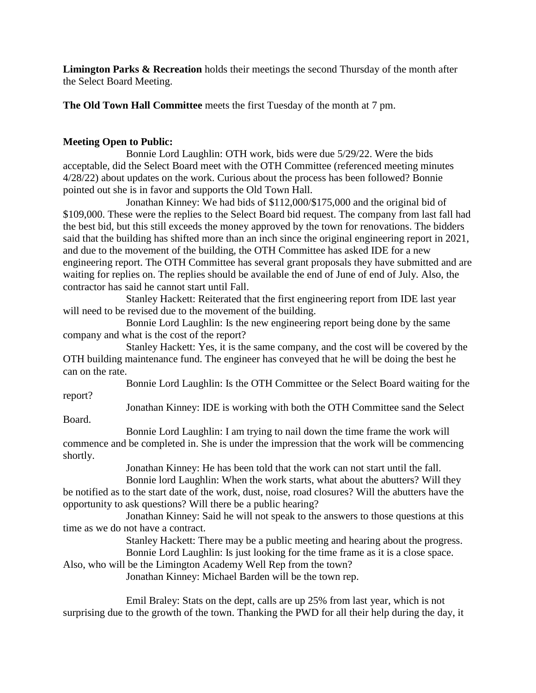**Limington Parks & Recreation** holds their meetings the second Thursday of the month after the Select Board Meeting.

**The Old Town Hall Committee** meets the first Tuesday of the month at 7 pm.

## **Meeting Open to Public:**

Bonnie Lord Laughlin: OTH work, bids were due 5/29/22. Were the bids acceptable, did the Select Board meet with the OTH Committee (referenced meeting minutes 4/28/22) about updates on the work. Curious about the process has been followed? Bonnie pointed out she is in favor and supports the Old Town Hall.

Jonathan Kinney: We had bids of \$112,000/\$175,000 and the original bid of \$109,000. These were the replies to the Select Board bid request. The company from last fall had the best bid, but this still exceeds the money approved by the town for renovations. The bidders said that the building has shifted more than an inch since the original engineering report in 2021, and due to the movement of the building, the OTH Committee has asked IDE for a new engineering report. The OTH Committee has several grant proposals they have submitted and are waiting for replies on. The replies should be available the end of June of end of July. Also, the contractor has said he cannot start until Fall.

Stanley Hackett: Reiterated that the first engineering report from IDE last year will need to be revised due to the movement of the building.

Bonnie Lord Laughlin: Is the new engineering report being done by the same company and what is the cost of the report?

Stanley Hackett: Yes, it is the same company, and the cost will be covered by the OTH building maintenance fund. The engineer has conveyed that he will be doing the best he can on the rate.

Bonnie Lord Laughlin: Is the OTH Committee or the Select Board waiting for the report?

Jonathan Kinney: IDE is working with both the OTH Committee sand the Select

Board.

Bonnie Lord Laughlin: I am trying to nail down the time frame the work will commence and be completed in. She is under the impression that the work will be commencing shortly.

Jonathan Kinney: He has been told that the work can not start until the fall.

Bonnie lord Laughlin: When the work starts, what about the abutters? Will they be notified as to the start date of the work, dust, noise, road closures? Will the abutters have the opportunity to ask questions? Will there be a public hearing?

Jonathan Kinney: Said he will not speak to the answers to those questions at this time as we do not have a contract.

Stanley Hackett: There may be a public meeting and hearing about the progress. Bonnie Lord Laughlin: Is just looking for the time frame as it is a close space.

Also, who will be the Limington Academy Well Rep from the town?

Jonathan Kinney: Michael Barden will be the town rep.

Emil Braley: Stats on the dept, calls are up 25% from last year, which is not surprising due to the growth of the town. Thanking the PWD for all their help during the day, it